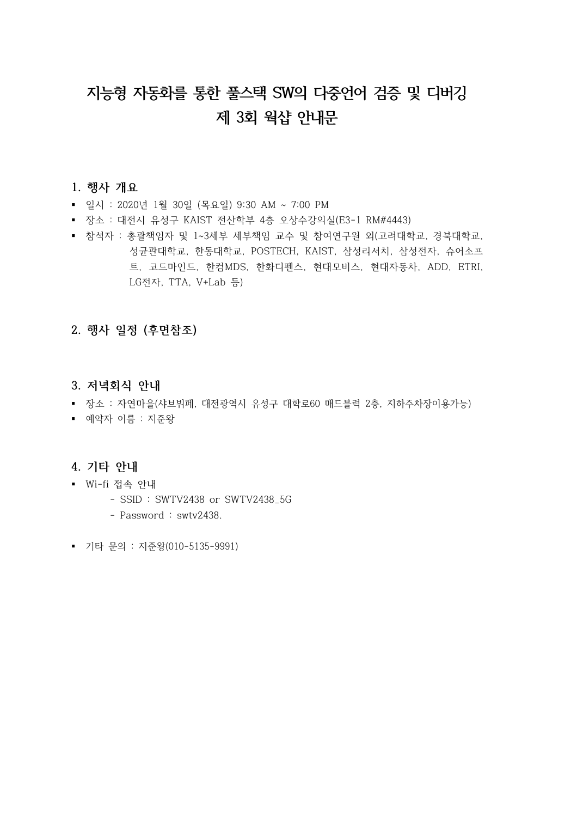# **지능형 자동화를 통한 풀스택 SW의 다중언어 검증 및 디버깅 제 3회 웍샵 안내문**

#### **1. 행사 개요**

- § 일시 : 2020년 1월 30일 (목요일) 9:30 AM ~ 7:00 PM
- § 장소 : 대전시 유성구 KAIST 전산학부 4층 오상수강의실(E3-1 RM#4443)
- 참석자 : 총괄책임자 및 1~3세부 세부책임 교수 및 참여연구원 외(고려대학교, 경북대학교,<br>성균관대학교, 한동대학교, POSTECH, KAIST, 삼성리서치, 삼성전자, 슈어소프 트, 코드마인드, 한컴MDS, 한화디펜스, 현대모비스, 현대자동차, ADD, ETRI, LG전자, TTA, V+Lab 등)

### **2. 행사 일정 (후면참조)**

- **3. 저녁회식 안내**
- 장소 : 자연마을(샤브뷔페, 대전광역시 유성구 대학로60 매드블럭 2층, 지하주차장이용가능)
- § 예약자 이름 : 지준왕

#### **4. 기타 안내**

- § Wi-fi 접속 안내
	- SSID : SWTV2438 or SWTV2438\_5G
	- Password : swtv2438.
- § 기타 문의 : 지준왕(010-5135-9991)